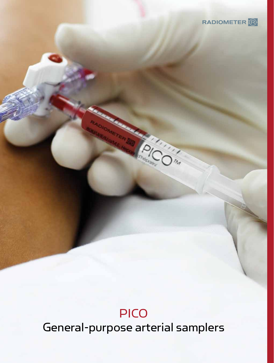

## PICO

General-purpose arterial samplers